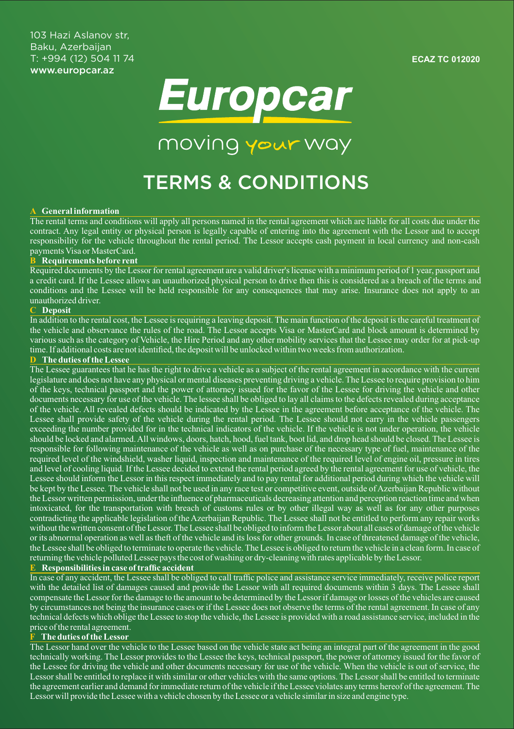**ECAZ TC 012020**



moving your way

# TERMS & CONDITIONS

#### **A General information**

The rental terms and conditions will apply all persons named in the rental agreement which are liable for all costs due under the contract. Any legal entity or physical person is legally capable of entering into the agreement with the Lessor and to accept responsibility for the vehicle throughout the rental period. The Lessor accepts cash payment in local currency and non-cash payments Visa or MasterCard.

## **B Requirements before rent**

Required documents by the Lessor for rental agreement are a valid driver's license with a minimum period of 1 year, passport and a credit card. If the Lessee allows an unauthorized physical person to drive then this is considered as a breach of the terms and conditions and the Lessee will be held responsible for any consequences that may arise. Insurance does not apply to an unauthorized driver.

#### **C Deposit**

In addition to the rental cost, the Lessee is requiring a leaving deposit. The main function of the deposit is the careful treatment of the vehicle and observance the rules of the road. The Lessor accepts Visa or MasterCard and block amount is determined by various such as the category of Vehicle, the Hire Period and any other mobility services that the Lessee may order for at pick-up time. If additional costs are not identified, the deposit will be unlocked within two weeks from authorization.

#### **D The duties of the Lessee**

The Lessee guarantees that he has the right to drive a vehicle as a subject of the rental agreement in accordance with the current legislature and does not have any physical or mental diseases preventing driving a vehicle. The Lessee to require provision to him of the keys, technical passport and the power of attorney issued for the favor of the Lessee for driving the vehicle and other documents necessary for use of the vehicle. The lessee shall be obliged to lay all claims to the defects revealed during acceptance of the vehicle. All revealed defects should be indicated by the Lessee in the agreement before acceptance of the vehicle. The Lessee shall provide safety of the vehicle during the rental period. The Lessee should not carry in the vehicle passengers exceeding the number provided for in the technical indicators of the vehicle. If the vehicle is not under operation, the vehicle should be locked and alarmed. All windows, doors, hatch, hood, fuel tank, boot lid, and drop head should be closed. The Lessee is responsible for following maintenance of the vehicle as well as on purchase of the necessary type of fuel, maintenance of the required level of the windshield, washer liquid, inspection and maintenance of the required level of engine oil, pressure in tires and level of cooling liquid. If the Lessee decided to extend the rental period agreed by the rental agreement for use of vehicle, the Lessee should inform the Lessor in this respect immediately and to pay rental for additional period during which the vehicle will be kept by the Lessee. The vehicle shall not be used in any race test or competitive event, outside of Azerbaijan Republic without the Lessor written permission, under the influence of pharmaceuticals decreasing attention and perception reaction time and when intoxicated, for the transportation with breach of customs rules or by other illegal way as well as for any other purposes contradicting the applicable legislation of the Azerbaijan Republic. The Lessee shall not be entitled to perform any repair works without the written consent of the Lessor. The Lessee shall be obliged to inform the Lessor about all cases of damage of the vehicle or its abnormal operation as well as theft of the vehicle and its loss for other grounds. In case of threatened damage of the vehicle, the Lessee shall be obliged to terminate to operate the vehicle. The Lessee is obliged to return the vehicle in a clean form. In case of returning the vehicle polluted Lessee pays the cost of washing or dry-cleaning with rates applicable by the Lessor.

#### **E Responsibilities in case of traffic accident**

In case of any accident, the Lessee shall be obliged to call traffic police and assistance service immediately, receive police report with the detailed list of damages caused and provide the Lessor with all required documents within 3 days. The Lessee shall compensate the Lessor for the damage to the amount to be determined by the Lessor if damage or losses of the vehicles are caused by circumstances not being the insurance cases or if the Lessee does not observe the terms of the rental agreement. In case of any technical defects which oblige the Lessee to stop the vehicle, the Lessee is provided with a road assistance service, included in the price of the rental agreement.

#### **F The duties of the Lessor**

The Lessor hand over the vehicle to the Lessee based on the vehicle state act being an integral part of the agreement in the good technically working. The Lessor provides to the Lessee the keys, technical passport, the power of attorney issued for the favor of the Lessee for driving the vehicle and other documents necessary for use of the vehicle. When the vehicle is out of service, the Lessor shall be entitled to replace it with similar or other vehicles with the same options. The Lessor shall be entitled to terminate the agreement earlier and demand for immediate return of the vehicle if the Lessee violates any terms hereof of the agreement. The Lessor will provide the Lessee with a vehicle chosen by the Lessee or a vehicle similar in size and engine type.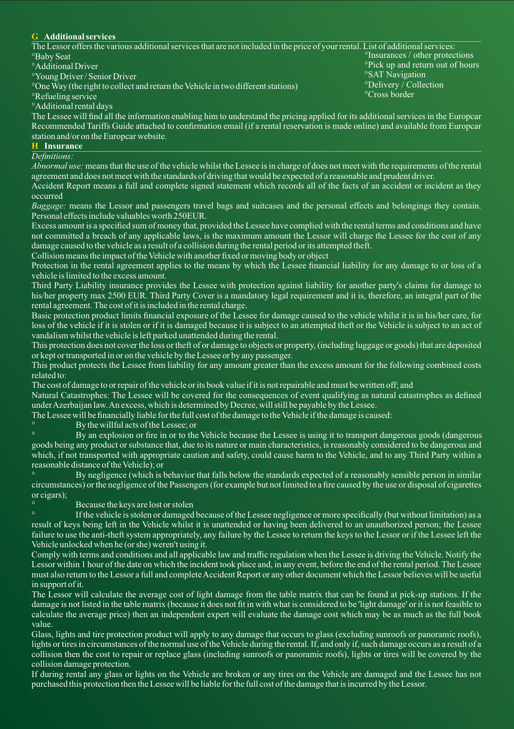### **G Additional services**

| The Lessor offers the various additional services that are not included in the price of your rental. List of additional services: |                                              |
|-----------------------------------------------------------------------------------------------------------------------------------|----------------------------------------------|
| <sup>o</sup> Baby Seat                                                                                                            | <sup>o</sup> Insurances / other protections  |
| <sup>o</sup> Additional Driver                                                                                                    | <sup>o</sup> Pick up and return out of hours |
| <sup>o</sup> Young Driver / Senior Driver                                                                                         | <sup>o</sup> SAT Navigation                  |
| <sup>o</sup> One Way (the right to collect and return the Vehicle in two different stations)                                      | <i><b>ODelivery</b></i> / Collection         |
| <sup>o</sup> Refueling service                                                                                                    | <sup>o</sup> Cross border                    |
|                                                                                                                                   |                                              |

°Additional rental days

The Lessee will find all the information enabling him to understand the pricing applied for its additional services in the Europcar Recommended Tariffs Guide attached to confirmation email (if a rental reservation is made online) and available from Europcar station and/or on the Europcar website.

# **H Insurance**

*Definitions:*

*Abnormal use:* means that the use of the vehicle whilst the Lessee is in charge of does not meet with the requirements of the rental agreement and does not meet with the standards of driving that would be expected of a reasonable and prudent driver.

Accident Report means a full and complete signed statement which records all of the facts of an accident or incident as they occurred

*Baggage:* means the Lessor and passengers travel bags and suitcases and the personal effects and belongings they contain. Personal effects include valuables worth 250EUR.

Excess amount is a specified sum of money that, provided the Lessee have complied with the rental terms and conditions and have not committed a breach of any applicable laws, is the maximum amount the Lessor will charge the Lessee for the cost of any damage caused to the vehicle as a result of a collision during the rental period or its attempted theft.

Collision means the impact of the Vehicle with another fixed or moving body or object

Protection in the rental agreement applies to the means by which the Lessee financial liability for any damage to or loss of a vehicle is limited to the excess amount.

Third Party Liability insurance provides the Lessee with protection against liability for another party's claims for damage to his/her property max 2500 EUR. Third Party Cover is a mandatory legal requirement and it is, therefore, an integral part of the rental agreement. The cost of it is included in the rental charge.

Basic protection product limits financial exposure of the Lessee for damage caused to the vehicle whilst it is in his/her care, for loss of the vehicle if it is stolen or if it is damaged because it is subject to an attempted theft or the Vehicle is subject to an act of vandalism whilst the vehicle is left parked unattended during the rental.

This protection does not cover the loss or theft of or damage to objects or property, (including luggage or goods) that are deposited or kept or transported in or on the vehicle by the Lessee or by any passenger.

This product protects the Lessee from liability for any amount greater than the excess amount for the following combined costs related to:

The cost of damage to or repair of the vehicle or its book value if it is not repairable and must be written off; and

Natural Catastrophes: The Lessee will be covered for the consequences of event qualifying as natural catastrophes as defined under Azerbaijan law. An excess, which is determined by Decree, will still be payable by the Lessee.

The Lessee will be financially liable for the full cost of the damage to the Vehicle if the damage is caused:

° By the willful acts of the Lessee; or

By an explosion or fire in or to the Vehicle because the Lessee is using it to transport dangerous goods (dangerous goods being any product or substance that, due to its nature or main characteristics, is reasonably considered to be dangerous and which, if not transported with appropriate caution and safety, could cause harm to the Vehicle, and to any Third Party within a reasonable distance of the Vehicle); or

° By negligence (which is behavior that falls below the standards expected of a reasonably sensible person in similar circumstances) or the negligence of the Passengers (for example but not limited to a fire caused by the use or disposal of cigarettes or cigars);

# Because the keys are lost or stolen

° If the vehicle is stolen or damaged because of the Lessee negligence or more specifically (but without limitation) as a result of keys being left in the Vehicle whilst it is unattended or having been delivered to an unauthorized person; the Lessee failure to use the anti-theft system appropriately, any failure by the Lessee to return the keys to the Lessor or if the Lessee left the Vehicle unlocked when he (or she) weren't using it.

Comply with terms and conditions and all applicable law and traffic regulation when the Lessee is driving the Vehicle. Notify the Lessor within 1 hour of the date on which the incident took place and, in any event, before the end of the rental period. The Lessee must also return to the Lessor a full and complete Accident Report or any other document which the Lessor believes will be useful in support of it.

The Lessor will calculate the average cost of light damage from the table matrix that can be found at pick-up stations. If the damage is not listed in the table matrix (because it does not fit in with what is considered to be 'light damage' or it is not feasible to calculate the average price) then an independent expert will evaluate the damage cost which may be as much as the full book value.

Glass, lights and tire protection product will apply to any damage that occurs to glass (excluding sunroofs or panoramic roofs), lights or tires in circumstances of the normal use of the Vehicle during the rental. If, and only if, such damage occurs as a result of a collision then the cost to repair or replace glass (including sunroofs or panoramic roofs), lights or tires will be covered by the collision damage protection.

If during rental any glass or lights on the Vehicle are broken or any tires on the Vehicle are damaged and the Lessee has not purchased this protection then the Lessee will be liable for the full cost of the damage that is incurred by the Lessor.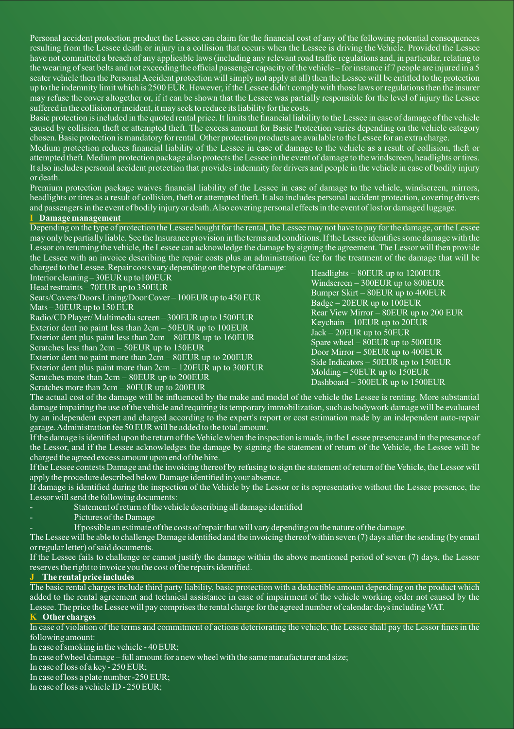Personal accident protection product the Lessee can claim for the financial cost of any of the following potential consequences resulting from the Lessee death or injury in a collision that occurs when the Lessee is driving the Vehicle. Provided the Lessee have not committed a breach of any applicable laws (including any relevant road traffic regulations and, in particular, relating to the wearing of seat belts and not exceeding the official passenger capacity of the vehicle – for instance if 7 people are injured in a 5 seater vehicle then the Personal Accident protection will simply not apply at all) then the Lessee will be entitled to the protection up to the indemnity limit which is 2500 EUR. However, if the Lessee didn't comply with those laws or regulations then the insurer may refuse the cover altogether or, if it can be shown that the Lessee was partially responsible for the level of injury the Lessee suffered in the collision or incident, it may seek to reduce its liability for the costs.

Basic protection is included in the quoted rental price. It limits the financial liability to the Lessee in case of damage of the vehicle caused by collision, theft or attempted theft. The excess amount for Basic Protection varies depending on the vehicle category chosen. Basic protection is mandatory for rental. Other protection products are available to the Lessee for an extra charge.

Medium protection reduces financial liability of the Lessee in case of damage to the vehicle as a result of collision, theft or attempted theft. Medium protection package also protects the Lessee in the event of damage to the windscreen, headlights or tires. It also includes personal accident protection that provides indemnity for drivers and people in the vehicle in case of bodily injury or death.

Premium protection package waives financial liability of the Lessee in case of damage to the vehicle, windscreen, mirrors, headlights or tires as a result of collision, theft or attempted theft. It also includes personal accident protection, covering drivers and passengers in the event of bodily injury or death. Also covering personal effects in the event of lost or damaged luggage.

#### **I Damage management**

Depending on the type of protection the Lessee bought for the rental, the Lessee may not have to pay for the damage, or the Lessee may only be partially liable. See the Insurance provision in the terms and conditions. If the Lessee identifies some damage with the Lessor on returning the vehicle, the Lessee can acknowledge the damage by signing the agreement. The Lessor will then provide the Lessee with an invoice describing the repair costs plus an administration fee for the treatment of the damage that will be charged to the Lessee. Repair costs vary depending on the type of damage:

Head restraints – 70EUR up to 350EUR Interior cleaning – 30EUR up to100EUR

Seats/Covers/Doors Lining/Door Cover – 100EUR up to 450 EUR Mats – 30 EUR up to  $150$  EUR

Radio/CD Player/ Multimedia screen – 300EUR up to 1500EUR

Exterior dent no paint less than 2cm – 50EUR up to 100EUR

Exterior dent plus paint less than 2cm – 80EUR up to 160EUR

Scratches less than 2cm – 50EUR up to 150EUR

Exterior dent no paint more than 2cm – 80EUR up to 200EUR

Exterior dent plus paint more than  $2cm - 120EUR$  up to 300EUR

Scratches more than 2cm – 80EUR up to 200EUR

Scratches more than  $2cm - 80EUR$  up to  $200EUR$ 

Headlights – 80EUR up to 1200EUR Windscreen – 300EUR up to 800EUR Bumper Skirt – 80EUR up to 400EUR Badge – 20EUR up to 100EUR Rear View Mirror – 80EUR up to 200 EUR Keychain – 10EUR up to 20EUR Jack – 20EUR up to 50EUR Spare wheel  $-$  80EUR up to 500EUR Door Mirror – 50EUR up to 400EUR Side Indicators – 50EUR up to 150EUR Molding – 50EUR up to  $150$ EUR Dashboard – 300EUR up to 1500EUR

The actual cost of the damage will be influenced by the make and model of the vehicle the Lessee is renting. More substantial damage impairing the use of the vehicle and requiring its temporary immobilization, such as bodywork damage will be evaluated by an independent expert and charged according to the expert's report or cost estimation made by an independent auto-repair garage. Administration fee 50 EUR will be added to the total amount.

If the damage is identified upon the return of the Vehicle when the inspection is made, in the Lessee presence and in the presence of the Lessor, and if the Lessee acknowledges the damage by signing the statement of return of the Vehicle, the Lessee will be charged the agreed excess amount upon end of the hire.

If the Lessee contests Damage and the invoicing thereof by refusing to sign the statement of return of the Vehicle, the Lessor will apply the procedure described below Damage identified in your absence.

If damage is identified during the inspection of the Vehicle by the Lessor or its representative without the Lessee presence, the Lessor will send the following documents:

- Statement of return of the vehicle describing all damage identified
- Pictures of the Damage

- If possible an estimate of the costs of repair that will vary depending on the nature of the damage.

The Lessee will be able to challenge Damage identified and the invoicing thereof within seven (7) days after the sending (by email or regular letter) of said documents.

If the Lessee fails to challenge or cannot justify the damage within the above mentioned period of seven (7) days, the Lessor reserves the right to invoice you the cost of the repairs identified.

#### **J The rental price includes**

The basic rental charges include third party liability, basic protection with a deductible amount depending on the product which added to the rental agreement and technical assistance in case of impairment of the vehicle working order not caused by the Lessee. The price the Lessee will pay comprises the rental charge for the agreed number of calendar days including VAT.

# **K Other charges**

In case of violation of the terms and commitment of actions deteriorating the vehicle, the Lessee shall pay the Lessor fines in the following amount:

In case of smoking in the vehicle - 40 EUR;

In case of wheel damage – full amount for a new wheel with the same manufacturer and size;

In case of loss of a key - 250 EUR;

In case of loss a plate number -250 EUR;

In case of loss a vehicle ID - 250 EUR;